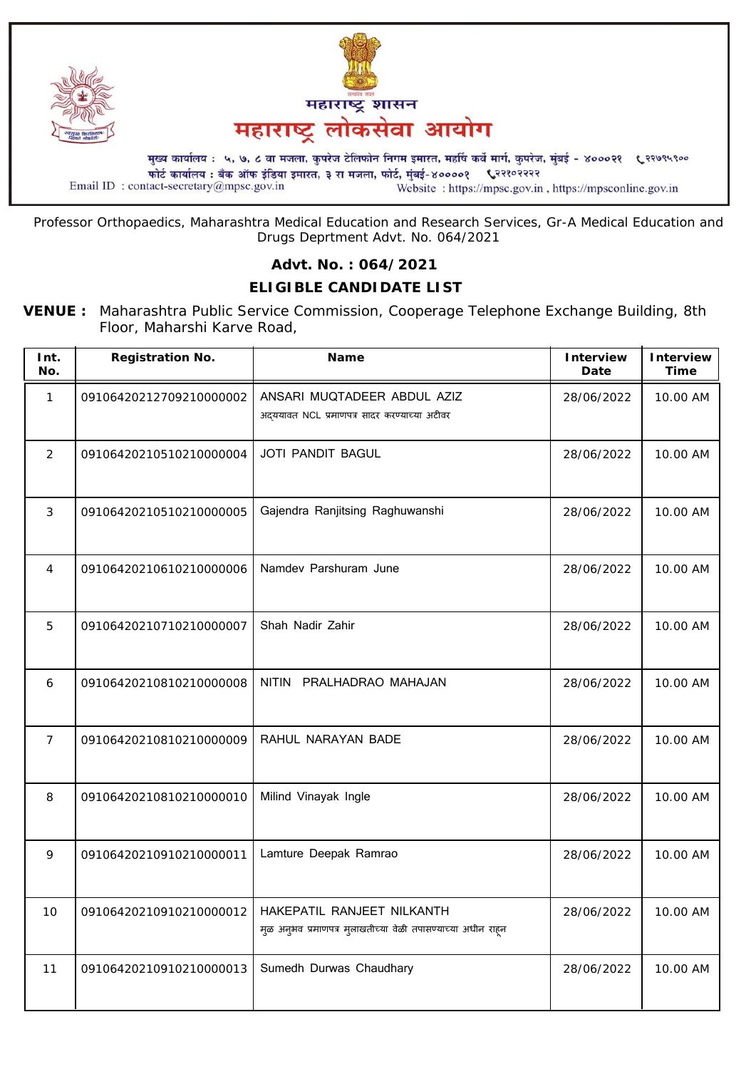

Professor Orthopaedics, Maharashtra Medical Education and Research Services, Gr-A Medical Education and Drugs Deprtment Advt. No. 064/2021

## **Advt. No. : 064/2021**

## **ELIGIBLE CANDIDATE LIST**

**VENUE :** Maharashtra Public Service Commission, Cooperage Telephone Exchange Building, 8th Floor, Maharshi Karve Road,

| Int.<br>No.    | <b>Registration No.</b> | <b>Name</b>                                                                                 | <b>Interview</b><br>Date | <b>Interview</b><br><b>Time</b> |
|----------------|-------------------------|---------------------------------------------------------------------------------------------|--------------------------|---------------------------------|
| 1              | 09106420212709210000002 | ANSARI MUQTADEER ABDUL AZIZ<br>अद्ययावत NCL प्रमाणपत्र सादर करण्याच्या अटीवर                | 28/06/2022               | 10.00 AM                        |
| 2              | 09106420210510210000004 | JOTI PANDIT BAGUL                                                                           | 28/06/2022               | 10.00 AM                        |
| 3              | 09106420210510210000005 | Gajendra Ranjitsing Raghuwanshi                                                             | 28/06/2022               | 10.00 AM                        |
| 4              | 09106420210610210000006 | Namdev Parshuram June                                                                       | 28/06/2022               | 10.00 AM                        |
| 5              | 09106420210710210000007 | Shah Nadir Zahir                                                                            | 28/06/2022               | 10.00 AM                        |
| 6              | 09106420210810210000008 | <b>NITIN</b><br>PRALHADRAO MAHAJAN                                                          | 28/06/2022               | 10.00 AM                        |
| $\overline{7}$ | 09106420210810210000009 | RAHUL NARAYAN BADE                                                                          | 28/06/2022               | 10.00 AM                        |
| 8              | 09106420210810210000010 | Milind Vinayak Ingle                                                                        | 28/06/2022               | 10.00 AM                        |
| 9              | 09106420210910210000011 | Lamture Deepak Ramrao                                                                       | 28/06/2022               | 10.00 AM                        |
| 10             | 09106420210910210000012 | HAKFPATIL RANJFFT NILKANTH<br>मुळ अनुभव प्रमाणपत्र मुलाखतीच्या वेळी तपासण्याच्या अधीन राहून | 28/06/2022               | 10.00 AM                        |
| 11             | 09106420210910210000013 | Sumedh Durwas Chaudhary                                                                     | 28/06/2022               | 10.00 AM                        |